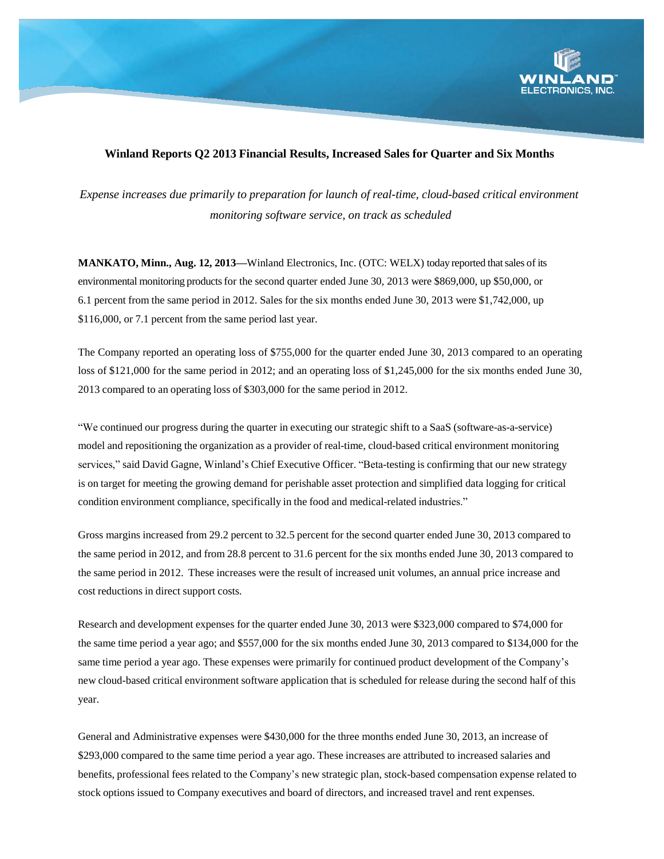

## **Winland Reports Q2 2013 Financial Results, Increased Sales for Quarter and Six Months**

*Expense increases due primarily to preparation for launch of real-time, cloud-based critical environment monitoring software service, on track as scheduled*

**MANKATO, Minn., Aug. 12, 2013—**Winland Electronics, Inc. (OTC: WELX) today reported thatsales of its environmental monitoring products for the second quarter ended June 30, 2013 were \$869,000, up \$50,000, or 6.1 percent from the same period in 2012. Sales for the six months ended June 30, 2013 were \$1,742,000, up \$116,000, or 7.1 percent from the same period last year.

The Company reported an operating loss of \$755,000 for the quarter ended June 30, 2013 compared to an operating loss of \$121,000 for the same period in 2012; and an operating loss of \$1,245,000 for the six months ended June 30, 2013 compared to an operating loss of \$303,000 for the same period in 2012.

"We continued our progress during the quarter in executing our strategic shift to a SaaS (software-as-a-service) model and repositioning the organization as a provider of real-time, cloud-based critical environment monitoring services," said David Gagne, Winland's Chief Executive Officer. "Beta-testing is confirming that our new strategy is on target for meeting the growing demand for perishable asset protection and simplified data logging for critical condition environment compliance, specifically in the food and medical-related industries."

Gross margins increased from 29.2 percent to 32.5 percent for the second quarter ended June 30, 2013 compared to the same period in 2012, and from 28.8 percent to 31.6 percent for the six months ended June 30, 2013 compared to the same period in 2012. These increases were the result of increased unit volumes, an annual price increase and cost reductions in direct support costs.

Research and development expenses for the quarter ended June 30, 2013 were \$323,000 compared to \$74,000 for the same time period a year ago; and \$557,000 for the six months ended June 30, 2013 compared to \$134,000 for the same time period a year ago. These expenses were primarily for continued product development of the Company's new cloud-based critical environment software application that is scheduled for release during the second half of this year.

General and Administrative expenses were \$430,000 for the three months ended June 30, 2013, an increase of \$293,000 compared to the same time period a year ago. These increases are attributed to increased salaries and benefits, professional fees related to the Company's new strategic plan, stock-based compensation expense related to stock options issued to Company executives and board of directors, and increased travel and rent expenses.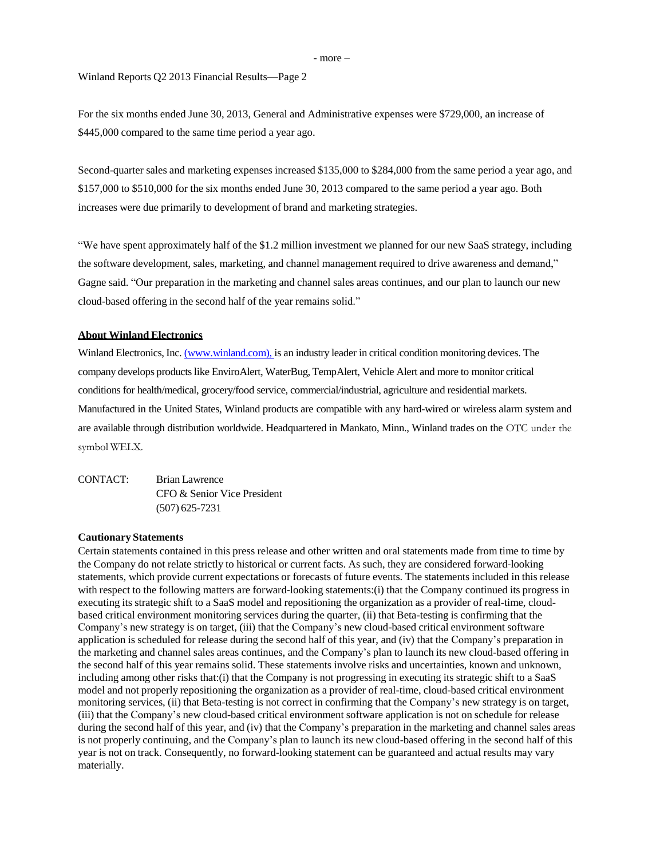- more –

Winland Reports Q2 2013 Financial Results—Page 2

For the six months ended June 30, 2013, General and Administrative expenses were \$729,000, an increase of \$445,000 compared to the same time period a year ago.

Second-quarter sales and marketing expenses increased \$135,000 to \$284,000 from the same period a year ago, and \$157,000 to \$510,000 for the six months ended June 30, 2013 compared to the same period a year ago. Both increases were due primarily to development of brand and marketing strategies.

"We have spent approximately half of the \$1.2 million investment we planned for our new SaaS strategy, including the software development, sales, marketing, and channel management required to drive awareness and demand," Gagne said. "Our preparation in the marketing and channel sales areas continues, and our plan to launch our new cloud-based offering in the second half of the year remains solid."

### **About Winland Electronics**

Winland Electronics, Inc. [\(www.winland.com\)](http://www.winland.com/), is an industry leader in critical condition monitoring devices. The company develops productslike EnviroAlert, WaterBug, TempAlert, Vehicle Alert and more to monitor critical conditionsfor health/medical, grocery/food service, commercial/industrial, agriculture and residential markets. Manufactured in the United States, Winland products are compatible with any hard-wired or wireless alarm system and are available through distribution worldwide. Headquartered in Mankato, Minn., Winland trades on the OTC under the symbol WELX.

CONTACT: Brian Lawrence CFO & Senior Vice President (507) 625-7231

#### **Cautionary Statements**

Certain statements contained in this press release and other written and oral statements made from time to time by the Company do not relate strictly to historical or current facts. As such, they are considered forward-looking statements, which provide current expectations or forecasts of future events. The statements included in this release with respect to the following matters are forward-looking statements:(i) that the Company continued its progress in executing its strategic shift to a SaaS model and repositioning the organization as a provider of real-time, cloudbased critical environment monitoring services during the quarter, (ii) that Beta-testing is confirming that the Company's new strategy is on target, (iii) that the Company's new cloud-based critical environment software application is scheduled for release during the second half of this year, and (iv) that the Company's preparation in the marketing and channel sales areas continues, and the Company's plan to launch its new cloud-based offering in the second half of this year remains solid. These statements involve risks and uncertainties, known and unknown, including among other risks that:(i) that the Company is not progressing in executing its strategic shift to a SaaS model and not properly repositioning the organization as a provider of real-time, cloud-based critical environment monitoring services, (ii) that Beta-testing is not correct in confirming that the Company's new strategy is on target, (iii) that the Company's new cloud-based critical environment software application is not on schedule for release during the second half of this year, and (iv) that the Company's preparation in the marketing and channel sales areas is not properly continuing, and the Company's plan to launch its new cloud-based offering in the second half of this year is not on track. Consequently, no forward-looking statement can be guaranteed and actual results may vary materially.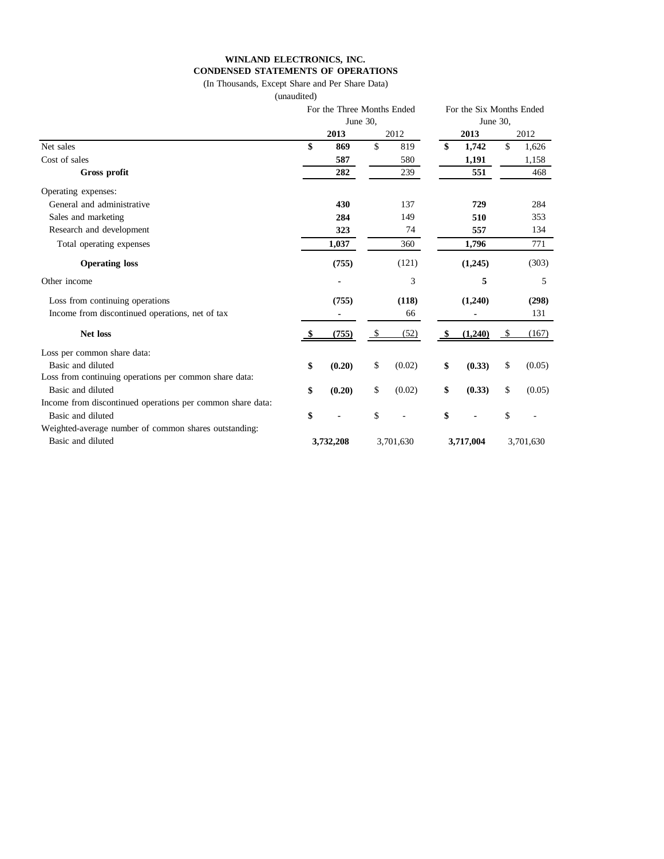# **WINLAND ELECTRONICS, INC. CONDENSED STATEMENTS OF OPERATIONS**

(In Thousands, Except Share and Per Share Data)

(unaudited)

|                                                            | For the Three Months Ended<br>June 30. |        |           |        |           | For the Six Months Ended |           |        |  |
|------------------------------------------------------------|----------------------------------------|--------|-----------|--------|-----------|--------------------------|-----------|--------|--|
|                                                            |                                        |        |           |        | June 30.  |                          |           |        |  |
|                                                            |                                        | 2013   |           | 2012   |           | 2013                     |           | 2012   |  |
| Net sales                                                  | \$                                     | 869    | \$        | 819    | \$        | 1,742                    | \$        | 1,626  |  |
| Cost of sales                                              |                                        | 587    |           | 580    |           | 1,191                    |           | 1,158  |  |
| Gross profit                                               |                                        | 282    |           | 239    |           | 551                      |           | 468    |  |
| Operating expenses:                                        |                                        |        |           |        |           |                          |           |        |  |
| General and administrative                                 |                                        | 430    |           | 137    | 729       |                          | 284       |        |  |
| Sales and marketing                                        |                                        | 284    |           | 149    | 510       |                          | 353       |        |  |
| Research and development                                   |                                        | 323    |           | 74     | 557       |                          | 134       |        |  |
| Total operating expenses                                   |                                        | 1,037  |           | 360    |           | 1,796                    |           | 771    |  |
| <b>Operating loss</b>                                      |                                        | (755)  |           | (121)  |           | (1,245)                  |           | (303)  |  |
| Other income                                               |                                        |        |           | 3      |           | 5                        |           | 5      |  |
| Loss from continuing operations                            | (755)                                  |        | (118)     |        | (1,240)   |                          | (298)     |        |  |
| Income from discontinued operations, net of tax            |                                        |        |           | 66     |           |                          |           | 131    |  |
| <b>Net loss</b>                                            |                                        | (755)  | \$        | (52)   |           | (1,240)                  | - \$      | (167)  |  |
| Loss per common share data:                                |                                        |        |           |        |           |                          |           |        |  |
| Basic and diluted                                          | \$                                     | (0.20) | \$        | (0.02) | \$        | (0.33)                   | \$        | (0.05) |  |
| Loss from continuing operations per common share data:     |                                        |        |           |        |           |                          |           |        |  |
| Basic and diluted                                          | \$                                     | (0.20) | \$        | (0.02) | \$        | (0.33)                   | \$        | (0.05) |  |
| Income from discontinued operations per common share data: |                                        |        |           |        |           |                          |           |        |  |
| Basic and diluted                                          | \$                                     |        | \$        |        | \$        |                          | \$        |        |  |
| Weighted-average number of common shares outstanding:      |                                        |        |           |        |           |                          |           |        |  |
| Basic and diluted                                          | 3,732,208                              |        | 3,701,630 |        | 3,717,004 |                          | 3,701,630 |        |  |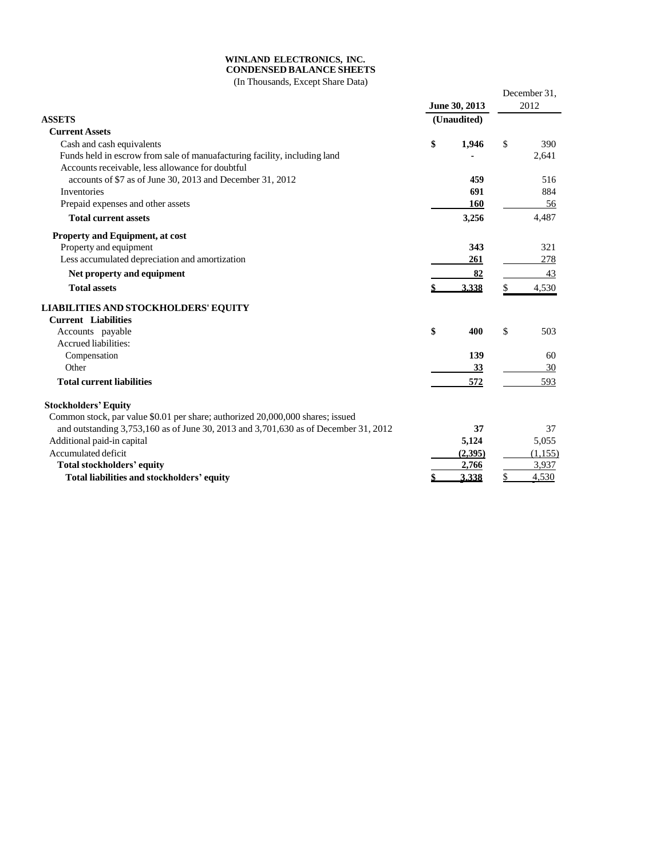#### **WINLAND ELECTRONICS, INC. CONDENSED BALANCE SHEETS**

(In Thousands, Except Share Data)

| in Thousands, Encept Share Bana                                                     |    | June 30, 2013 | December 31,<br>2012 |          |  |
|-------------------------------------------------------------------------------------|----|---------------|----------------------|----------|--|
| <b>ASSETS</b>                                                                       |    | (Unaudited)   |                      |          |  |
| <b>Current Assets</b>                                                               |    |               |                      |          |  |
| Cash and cash equivalents                                                           | \$ | 1,946         | \$                   | 390      |  |
| Funds held in escrow from sale of manuafacturing facility, including land           |    |               |                      | 2,641    |  |
| Accounts receivable, less allowance for doubtful                                    |    |               |                      |          |  |
| accounts of \$7 as of June 30, 2013 and December 31, 2012                           |    | 459           |                      | 516      |  |
| Inventories                                                                         |    | 691           |                      | 884      |  |
| Prepaid expenses and other assets                                                   |    | <b>160</b>    |                      | 56       |  |
| <b>Total current assets</b>                                                         |    | 3,256         |                      | 4,487    |  |
| Property and Equipment, at cost                                                     |    |               |                      |          |  |
| Property and equipment                                                              |    | 343           |                      | 321      |  |
| Less accumulated depreciation and amortization                                      |    | 261           |                      | 278      |  |
| Net property and equipment                                                          |    | 82            |                      | 43       |  |
| <b>Total assets</b>                                                                 |    | 3.338         | \$                   | 4,530    |  |
| <b>LIABILITIES AND STOCKHOLDERS' EQUITY</b>                                         |    |               |                      |          |  |
| <b>Current Liabilities</b>                                                          |    |               |                      |          |  |
| Accounts payable                                                                    | \$ | 400           | \$                   | 503      |  |
| Accrued liabilities:                                                                |    |               |                      |          |  |
| Compensation                                                                        |    | 139           |                      | 60       |  |
| Other                                                                               |    | 33            |                      | 30       |  |
| <b>Total current liabilities</b>                                                    |    | 572           |                      | 593      |  |
| <b>Stockholders' Equity</b>                                                         |    |               |                      |          |  |
| Common stock, par value \$0.01 per share; authorized 20,000,000 shares; issued      |    |               |                      |          |  |
| and outstanding 3,753,160 as of June 30, 2013 and 3,701,630 as of December 31, 2012 |    | 37            |                      | 37       |  |
| Additional paid-in capital                                                          |    | 5,124         |                      | 5,055    |  |
| Accumulated deficit                                                                 |    | (2,395)       |                      | (1, 155) |  |
| <b>Total stockholders' equity</b>                                                   |    | 2,766         |                      | 3,937    |  |
| Total liabilities and stockholders' equity                                          |    | 3,338         | \$                   | 4,530    |  |